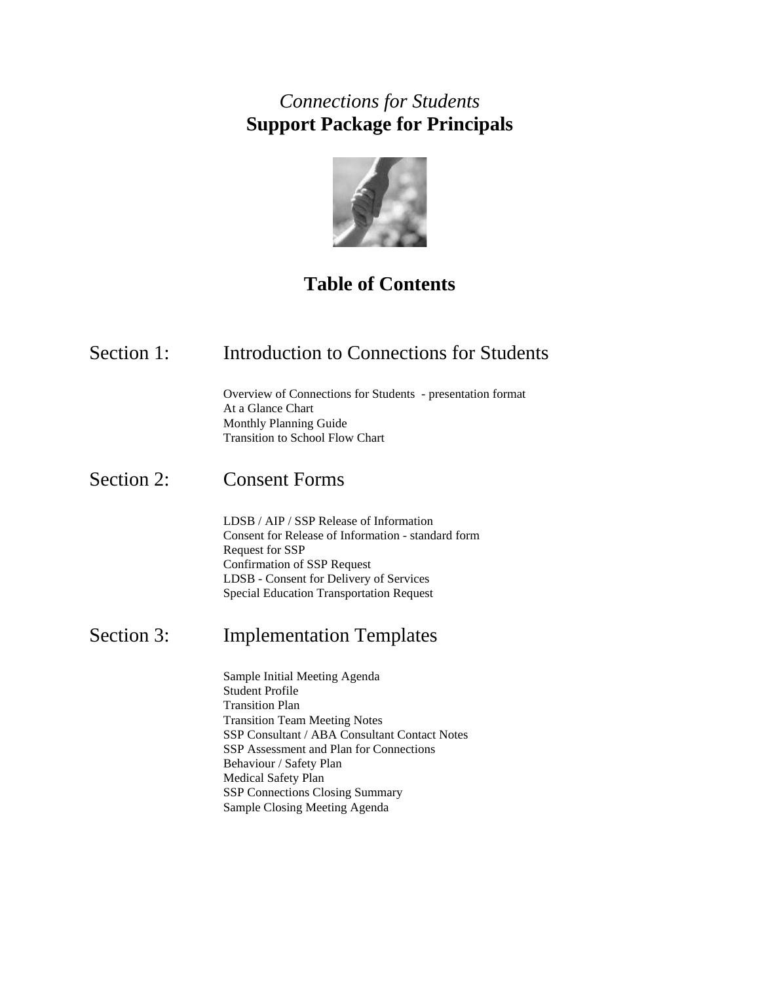## *Connections for Students* **Support Package for Principals**



# **Table of Contents**

## Section 1: Introduction to Connections for Students

 Overview of Connections for Students - presentation format At a Glance Chart Monthly Planning Guide Transition to School Flow Chart

### Section 2: Consent Forms

 LDSB / AIP / SSP Release of Information Consent for Release of Information - standard form Request for SSP Confirmation of SSP Request LDSB - Consent for Delivery of Services Special Education Transportation Request

## Section 3: Implementation Templates

 Sample Initial Meeting Agenda Student Profile Transition Plan Transition Team Meeting Notes SSP Consultant / ABA Consultant Contact Notes SSP Assessment and Plan for Connections Behaviour / Safety Plan Medical Safety Plan SSP Connections Closing Summary Sample Closing Meeting Agenda